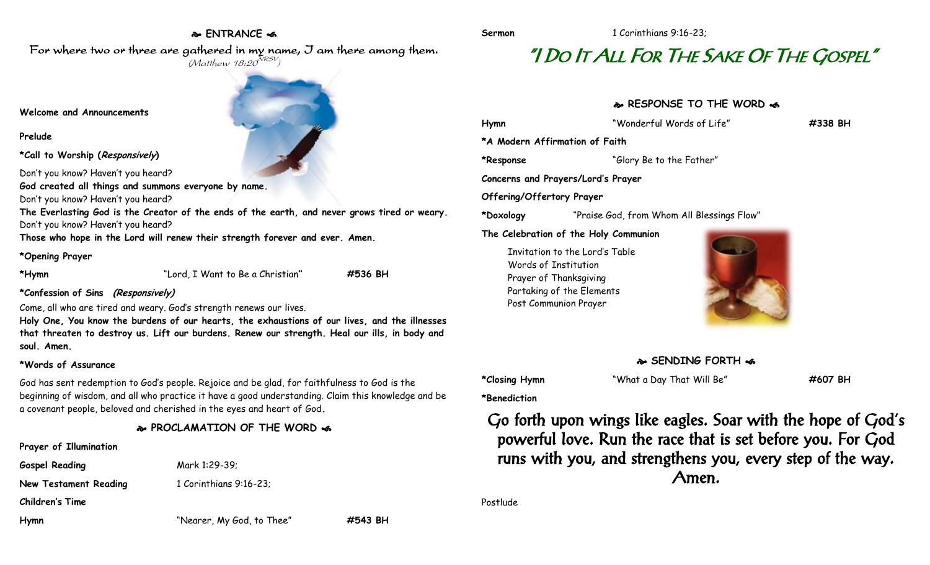## **ENTRANCE**

For where two or three are gathered in my name, I am there among them.  $(M$ atthew 18:20 $^{NRSV})$ 

#### **Welcome and Announcements**

#### **Prelude**

**\*Call to Worship (Responsively)** 

Don't you know? Haven't you heard?

**God created all things and summons everyone by name.**

Don't you know? Haven't you heard?

**The Everlasting God is the Creator of the ends of the earth, and never grows tired or weary.** Don't you know? Haven't you heard?

**Those who hope in the Lord will renew their strength forever and ever. Amen.**

#### **\*Opening Prayer**

**\*Hymn** "Lord, I Want to Be a Christian**" #536 BH**

## **\*Confession of Sins (Responsively)**

Come, all who are tired and weary. God's strength renews our lives.

**Holy One, You know the burdens of our hearts, the exhaustions of our lives, and the illnesses that threaten to destroy us. Lift our burdens. Renew our strength. Heal our ills, in body and soul. Amen.**

## **\*Words of Assurance**

God has sent redemption to God's people. Rejoice and be glad, for faithfulness to God is the beginning of wisdom, and all who practice it have a good understanding. Claim this knowledge and be a covenant people, beloved and cherished in the eyes and heart of God**.**

# **PROCLAMATION OF THE WORD**

| Prayer of Illumination       |  |
|------------------------------|--|
| <b>Gospel Reading</b>        |  |
| <b>New Testament Reading</b> |  |

**Gospel Reading** Mark 1:29-39; **New Testament Reading** 1 Corinthians 9:16-23;

**Children's Time**

**Hymn** "Nearer, My God, to Thee" **#543 BH**

# "I DO IT ALL FOR THE SAKE OF THE GOSPEL"

## **RESPONSE TO THE WORD**  $\approx$

| Hymn                      | "Wonderful Words of Life"                                                                                                              | #338 BH |
|---------------------------|----------------------------------------------------------------------------------------------------------------------------------------|---------|
|                           | *A Modern Affirmation of Faith                                                                                                         |         |
| *Response                 | "Glory Be to the Father"                                                                                                               |         |
|                           | Concerns and Prayers/Lord's Prayer                                                                                                     |         |
| Offering/Offertory Prayer |                                                                                                                                        |         |
| *Doxology                 | "Praise God, from Whom All Blessings Flow"                                                                                             |         |
|                           | The Celebration of the Holy Communion                                                                                                  |         |
|                           | Invitation to the Lord's Table<br>Words of Institution<br>Prayer of Thanksgiving<br>Partaking of the Elements<br>Post Communion Prayer |         |



**\*Closing Hymn** "What a Day That Will Be" **#607 BH**

**\*Benediction**

Go forth upon wings like eagles. Soar with the hope of God's powerful love. Run the race that is set before you. For God runs with you, and strengthens you, every step of the way. Amen.

Postlude